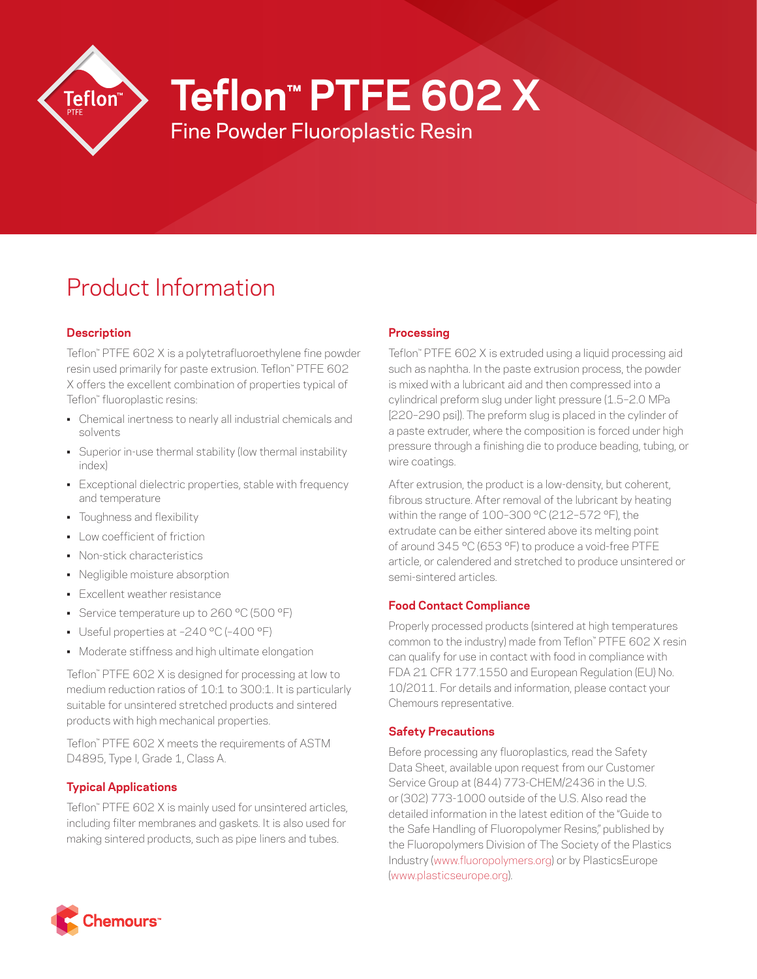

**Teflon™ PTFE 602 X**

Fine Powder Fluoroplastic Resin

# Product Information

## **Description**

Teflon™ PTFE 602 X is a polytetrafluoroethylene fine powder resin used primarily for paste extrusion. Teflon™ PTFE 602 X offers the excellent combination of properties typical of Teflon™ fluoroplastic resins:

- Chemical inertness to nearly all industrial chemicals and solvents
- Superior in-use thermal stability (low thermal instability index)
- Exceptional dielectric properties, stable with frequency and temperature
- Toughness and flexibility
- Low coefficient of friction
- Non-stick characteristics
- Negligible moisture absorption
- Excellent weather resistance
- Service temperature up to 260 °C (500 °F)
- Useful properties at –240 °C (–400 °F)
- Moderate stiffness and high ultimate elongation

Teflon™ PTFE 602 X is designed for processing at low to medium reduction ratios of 10:1 to 300:1. It is particularly suitable for unsintered stretched products and sintered products with high mechanical properties.

Teflon™ PTFE 602 X meets the requirements of ASTM D4895, Type I, Grade 1, Class A.

## **Typical Applications**

Teflon™ PTFE 602 X is mainly used for unsintered articles, including filter membranes and gaskets. It is also used for making sintered products, such as pipe liners and tubes.

## **Processing**

Teflon™ PTFE 602 X is extruded using a liquid processing aid such as naphtha. In the paste extrusion process, the powder is mixed with a lubricant aid and then compressed into a cylindrical preform slug under light pressure (1.5–2.0 MPa [220–290 psi]). The preform slug is placed in the cylinder of a paste extruder, where the composition is forced under high pressure through a finishing die to produce beading, tubing, or wire coatings.

After extrusion, the product is a low-density, but coherent, fibrous structure. After removal of the lubricant by heating within the range of 100–300 °C (212–572 °F), the extrudate can be either sintered above its melting point of around 345 °C (653 °F) to produce a void-free PTFE article, or calendered and stretched to produce unsintered or semi-sintered articles.

## **Food Contact Compliance**

Properly processed products (sintered at high temperatures common to the industry) made from Teflon™ PTFE 602 X resin can qualify for use in contact with food in compliance with FDA 21 CFR 177.1550 and European Regulation (EU) No. 10/2011. For details and information, please contact your Chemours representative.

## **Safety Precautions**

Before processing any fluoroplastics, read the Safety Data Sheet, available upon request from our Customer Service Group at (844) 773-CHEM/2436 in the U.S. or (302) 773-1000 outside of the U.S. Also read the detailed information in the latest edition of the "Guide to the Safe Handling of Fluoropolymer Resins," published by the Fluoropolymers Division of The Society of the Plastics Industry ([www.fluoropolymers.org](http://www.fluoropolymers.org)) or by PlasticsEurope [\(www.plasticseurope.org](http://www.plasticseurope.org)).